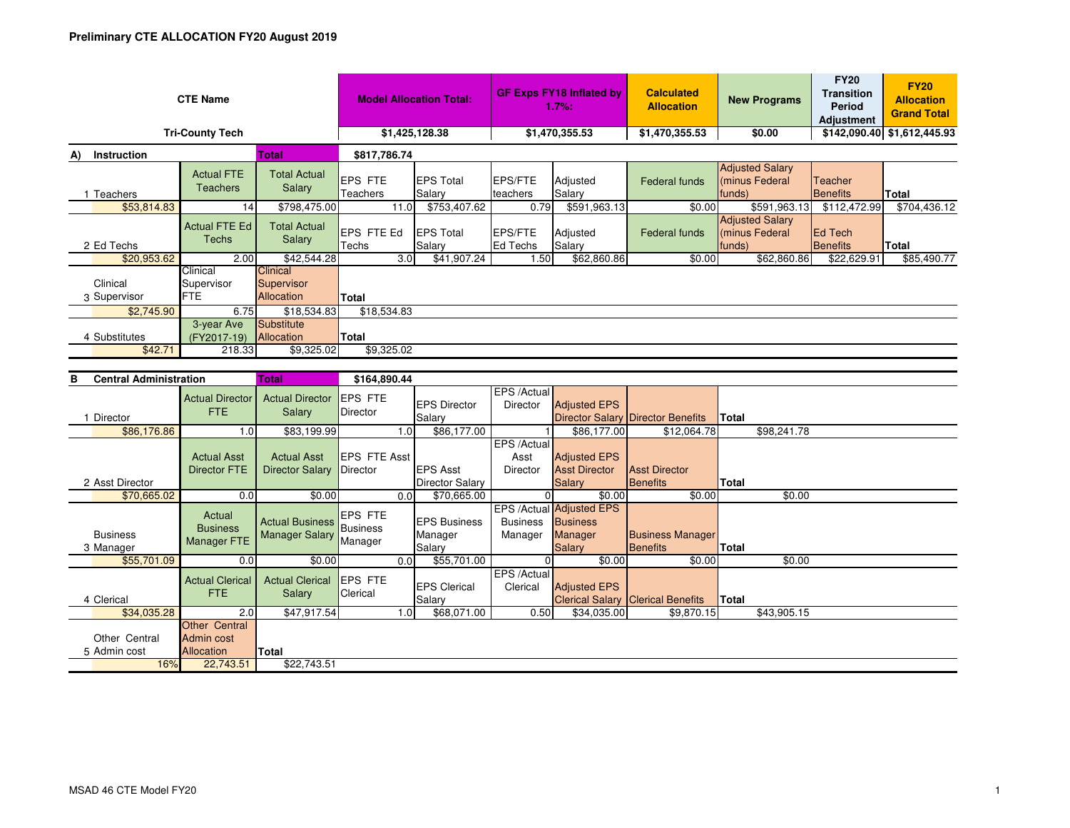| <b>CTE Name</b>          |                                      |                                                    | <b>Model Allocation Total:</b> |                             | <b>GF Exps FY18 Inflated by</b><br>$1.7%$ : |                    | <b>Calculated</b><br><b>Allocation</b> | <b>New Programs</b>                                | <b>FY20</b><br><b>Transition</b><br>Period<br><b>Adjustment</b> | <b>FY20</b><br><b>Allocation</b><br><b>Grand Total</b> |
|--------------------------|--------------------------------------|----------------------------------------------------|--------------------------------|-----------------------------|---------------------------------------------|--------------------|----------------------------------------|----------------------------------------------------|-----------------------------------------------------------------|--------------------------------------------------------|
| <b>Tri-County Tech</b>   |                                      |                                                    | \$1,425,128.38                 |                             | \$1,470,355.53                              |                    | \$1,470,355.53                         | \$0.00                                             |                                                                 | \$142,090.40 \$1,612,445.93                            |
| Instruction<br>A)        | \$817,786.74<br>Total                |                                                    |                                |                             |                                             |                    |                                        |                                                    |                                                                 |                                                        |
| Teachers                 | <b>Actual FTE</b><br><b>Teachers</b> | <b>Total Actual</b><br>Salary                      | <b>EPS FTE</b><br>Teachers     | <b>IEPS Total</b><br>Salary | <b>EPS/FTE</b><br>teachers                  | Adjusted<br>Salary | <b>Federal funds</b>                   | <b>Adjusted Salary</b><br>minus Federal<br>funds)  | Teacher<br><b>Benefits</b>                                      | <b>Total</b>                                           |
| \$53,814.83              | 14                                   | \$798,475.00                                       | 11.0                           | \$753,407.62                | 0.79                                        | \$591,963.13       | \$0.00                                 | \$591,963.13                                       | \$112,472.99                                                    | \$704,436.12                                           |
| 2 Ed Techs               | Actual FTE Ed<br>Techs               | <b>Total Actual</b><br>Salary                      | EPS FTE Ed<br>Techs            | <b>EPS Total</b><br>Salary  | <b>EPS/FTE</b><br>Ed Techs                  | Adjusted<br>Salary | <b>Federal funds</b>                   | <b>Adjusted Salary</b><br>(minus Federal<br>funds) | <b>IEd Tech</b><br>Benefits                                     | Total                                                  |
| \$20,953.62              | 2.00                                 | \$42,544.28                                        | 3.0                            | \$41,907.24                 | 1.50                                        | \$62,860.86        | \$0.00                                 | \$62,860.86                                        | \$22,629.91                                                     | \$85,490.77                                            |
| Clinical<br>3 Supervisor | Clinical<br>Supervisor<br>FTE.       | <b>Clinical</b><br>Supervisor<br><b>Allocation</b> | <b>Total</b>                   |                             |                                             |                    |                                        |                                                    |                                                                 |                                                        |
| \$2,745.90               | 6.75                                 | \$18,534.83                                        | \$18,534.83                    |                             |                                             |                    |                                        |                                                    |                                                                 |                                                        |
| 4 Substitutes<br>\$42.71 | 3-year Ave<br>(FY2017-19)<br>218.33  | Substitute<br><b>Allocation</b><br>\$9,325.02      | Total<br>\$9,325.02            |                             |                                             |                    |                                        |                                                    |                                                                 |                                                        |
|                          |                                      |                                                    |                                |                             |                                             |                    |                                        |                                                    |                                                                 |                                                        |

| в<br><b>Central Administration</b> |                                                  | <b>Total</b>                                      | \$164,890.44               |                                           |                            |                                                                                |                                            |              |  |
|------------------------------------|--------------------------------------------------|---------------------------------------------------|----------------------------|-------------------------------------------|----------------------------|--------------------------------------------------------------------------------|--------------------------------------------|--------------|--|
|                                    | <b>Actual Director</b><br><b>FTE</b>             | <b>Actual Director</b><br>Salary                  | <b>EPS FTE</b><br>Director | <b>IEPS Director</b>                      | EPS /Actual<br>Director    | <b>Adjusted EPS</b>                                                            |                                            |              |  |
| Director                           |                                                  |                                                   |                            | Salary                                    |                            |                                                                                | <b>Director Salary Director Benefits</b>   | <b>Total</b> |  |
| \$86,176.86                        | 1.0                                              | \$83,199.99                                       |                            | \$86,177.00<br>1.0 <sub>l</sub>           |                            | \$86,177.00                                                                    | \$12,064.78                                | \$98,241.78  |  |
|                                    | <b>Actual Asst</b>                               | <b>Actual Asst</b>                                | <b>EPS FTE Asst</b>        |                                           | EPS /Actual<br>Asst        | <b>Adjusted EPS</b>                                                            |                                            |              |  |
|                                    | <b>Director FTE</b>                              | Director Salary Director                          |                            | <b>EPS Asst</b>                           | Director                   | <b>Asst Director</b>                                                           | <b>Asst Director</b>                       |              |  |
| 2 Asst Director                    |                                                  |                                                   |                            | <b>Director Salary</b>                    |                            | <b>Salary</b>                                                                  | <b>Benefits</b>                            | Total        |  |
| \$70,665.02                        | 0.0                                              | \$0.00                                            | 0.0                        | \$70,665.00                               |                            | \$0.00                                                                         | \$0.00                                     | \$0.00       |  |
| <b>Business</b><br>3 Manager       | Actual<br><b>Business</b><br>Manager FTE         | Actual Business Business<br><b>Manager Salary</b> | <b>EPS FTE</b><br>Manager  | <b>IEPS Business</b><br>Manager<br>Salary | <b>Business</b><br>Manager | EPS /Actual Adjusted EPS<br><b>Business</b><br><b>Manager</b><br><b>Salary</b> | <b>Business Manager</b><br><b>Benefits</b> | <b>Total</b> |  |
| \$55,701.09                        | 0.0                                              | \$0.00                                            | 0.0                        | \$55,701.00                               |                            | \$0.00                                                                         | \$0.00                                     | \$0.00       |  |
| 4 Clerical                         | <b>Actual Clerical</b><br><b>FTE</b>             | <b>Actual Clerical</b><br>Salary                  | <b>EPS FTE</b><br>Clerical | <b>EPS Clerical</b><br>Salary             | EPS /Actual<br>Clerical    | <b>Adjusted EPS</b>                                                            | <b>Clerical Salary Clerical Benefits</b>   | Total        |  |
| \$34,035.28                        | 2.0                                              | \$47,917.54                                       |                            | \$68,071.00<br>1.0 <sub>l</sub>           | 0.50                       | \$34,035.00                                                                    | \$9,870.15                                 | \$43,905.15  |  |
| Other Central<br>5 Admin cost      | <b>Other Central</b><br>Admin cost<br>Allocation | Total                                             |                            |                                           |                            |                                                                                |                                            |              |  |
| 16%                                | 22,743.51                                        | \$22,743.51                                       |                            |                                           |                            |                                                                                |                                            |              |  |